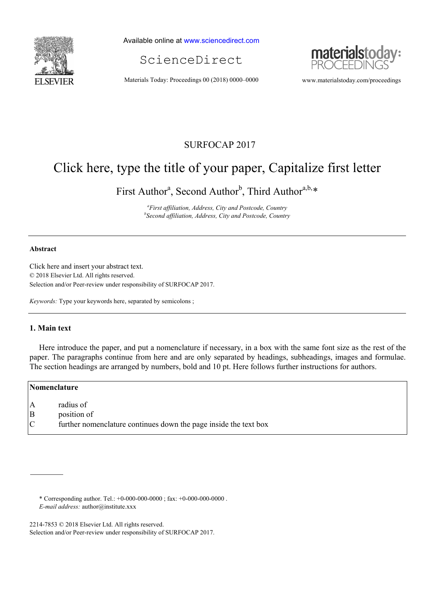

Available online at [www.sciencedirect.com](http://www.sciencedirect.com/science/journal/22120173)





Materials Today: Proceedings 00 (2018) 0000–0000 www.materialstoday.com/proceedings

## SURFOCAP 2017

# Click here, type the title of your paper, Capitalize first letter

First Author<sup>a</sup>, Second Author<sup>b</sup>, Third Author<sup>a,b,[\\*](#page-0-0)</sup>

*a First affiliation, Address, City and Postcode, Country b Second affiliation, Address, City and Postcode, Country*

#### **Abstract**

Click here and insert your abstract text. © 2018 Elsevier Ltd. All rights reserved. Selection and/or Peer-review under responsibility of SURFOCAP 2017.

*Keywords:* Type your keywords here, separated by semicolons ;

#### **1. Main text**

Here introduce the paper, and put a nomenclature if necessary, in a box with the same font size as the rest of the paper. The paragraphs continue from here and are only separated by headings, subheadings, images and formulae. The section headings are arranged by numbers, bold and 10 pt. Here follows further instructions for authors.

| Nomenclature  |                                                                  |  |
|---------------|------------------------------------------------------------------|--|
| A             | radius of                                                        |  |
| B             | position of                                                      |  |
| $\mathcal{C}$ | further nomenclature continues down the page inside the text box |  |

\* Corresponding author. Tel.: +0-000-000-0000 ; fax: +0-000-000-0000 .

*E-mail address:* author@institute.xxx

<span id="page-0-0"></span>2214-7853 © 2018 Elsevier Ltd. All rights reserved.

Selection and/or Peer-review under responsibility of SURFOCAP 2017.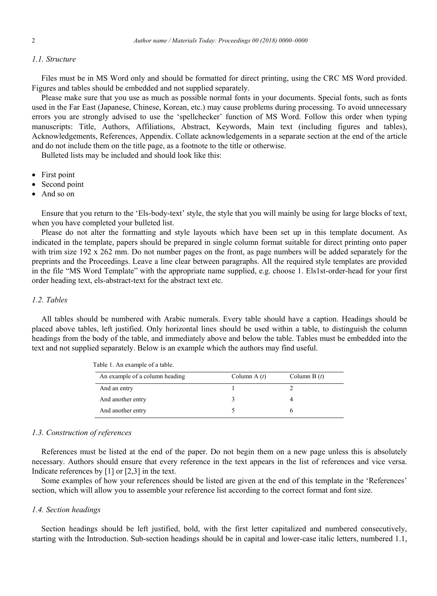#### *1.1. Structure*

Files must be in MS Word only and should be formatted for direct printing, using the CRC MS Word provided. Figures and tables should be embedded and not supplied separately.

Please make sure that you use as much as possible normal fonts in your documents. Special fonts, such as fonts used in the Far East (Japanese, Chinese, Korean, etc.) may cause problems during processing. To avoid unnecessary errors you are strongly advised to use the 'spellchecker' function of MS Word. Follow this order when typing manuscripts: Title, Authors, Affiliations, Abstract, Keywords, Main text (including figures and tables), Acknowledgements, References, Appendix. Collate acknowledgements in a separate section at the end of the article and do not include them on the title page, as a footnote to the title or otherwise.

Bulleted lists may be included and should look like this:

- First point
- Second point
- And so on

Ensure that you return to the 'Els-body-text' style, the style that you will mainly be using for large blocks of text, when you have completed your bulleted list.

Please do not alter the formatting and style layouts which have been set up in this template document. As indicated in the template, papers should be prepared in single column format suitable for direct printing onto paper with trim size 192 x 262 mm. Do not number pages on the front, as page numbers will be added separately for the preprints and the Proceedings. Leave a line clear between paragraphs. All the required style templates are provided in the file "MS Word Template" with the appropriate name supplied, e.g. choose 1. Els1st-order-head for your first order heading text, els-abstract-text for the abstract text etc.

#### *1.2. Tables*

All tables should be numbered with Arabic numerals. Every table should have a caption. Headings should be placed above tables, left justified. Only horizontal lines should be used within a table, to distinguish the column headings from the body of the table, and immediately above and below the table. Tables must be embedded into the text and not supplied separately. Below is an example which the authors may find useful.

| An example of a column heading | Column A $(t)$ | Column B $(t)$ |
|--------------------------------|----------------|----------------|
| And an entry                   |                |                |
| And another entry              |                |                |
| And another entry              |                |                |

Table 1. An example of a table.

#### *1.3. Construction of references*

References must be listed at the end of the paper. Do not begin them on a new page unless this is absolutely necessary. Authors should ensure that every reference in the text appears in the list of references and vice versa. Indicate references by [1] or [2,3] in the text.

Some examples of how your references should be listed are given at the end of this template in the 'References' section, which will allow you to assemble your reference list according to the correct format and font size.

#### *1.4. Section headings*

Section headings should be left justified, bold, with the first letter capitalized and numbered consecutively, starting with the Introduction. Sub-section headings should be in capital and lower-case italic letters, numbered 1.1,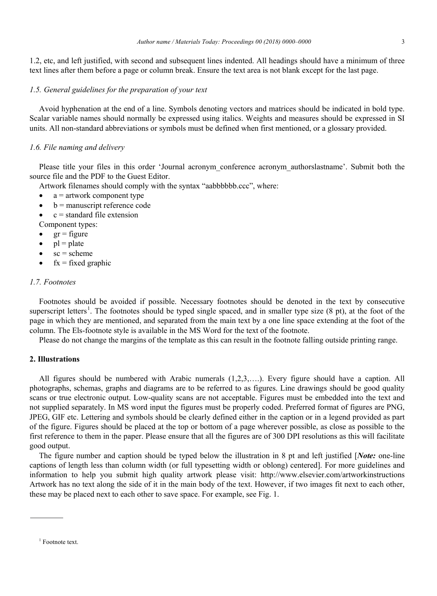1.2, etc, and left justified, with second and subsequent lines indented. All headings should have a minimum of three text lines after them before a page or column break. Ensure the text area is not blank except for the last page.

#### *1.5. General guidelines for the preparation of your text*

Avoid hyphenation at the end of a line. Symbols denoting vectors and matrices should be indicated in bold type. Scalar variable names should normally be expressed using italics. Weights and measures should be expressed in SI units. All non-standard abbreviations or symbols must be defined when first mentioned, or a glossary provided.

#### *1.6. File naming and delivery*

Please title your files in this order 'Journal acronym conference acronym authorslastname'. Submit both the source file and the PDF to the Guest Editor.

Artwork filenames should comply with the syntax "aabbbbbb.ccc", where:

- $\bullet$  a = artwork component type
- $b =$  manuscript reference code
- $c =$  standard file extension

Component types:

- $gr = figure$
- $pl = plate$
- $sc = scheme$
- $fx = fixed graphic$

#### *1.7. Footnotes*

Footnotes should be avoided if possible. Necessary footnotes should be denoted in the text by consecutive superscript letters<sup>[1](#page-2-0)</sup>. The footnotes should be typed single spaced, and in smaller type size  $(8 \text{ pt})$ , at the foot of the page in which they are mentioned, and separated from the main text by a one line space extending at the foot of the column. The Els-footnote style is available in the MS Word for the text of the footnote.

Please do not change the margins of the template as this can result in the footnote falling outside printing range.

#### **2. Illustrations**

All figures should be numbered with Arabic numerals (1,2,3,….). Every figure should have a caption. All photographs, schemas, graphs and diagrams are to be referred to as figures. Line drawings should be good quality scans or true electronic output. Low-quality scans are not acceptable. Figures must be embedded into the text and not supplied separately. In MS word input the figures must be properly coded. Preferred format of figures are PNG, JPEG, GIF etc. Lettering and symbols should be clearly defined either in the caption or in a legend provided as part of the figure. Figures should be placed at the top or bottom of a page wherever possible, as close as possible to the first reference to them in the paper. Please ensure that all the figures are of 300 DPI resolutions as this will facilitate good output.

The figure number and caption should be typed below the illustration in 8 pt and left justified [*Note:* one-line captions of length less than column width (or full typesetting width or oblong) centered]. For more guidelines and information to help you submit high quality artwork please visit: <http://www.elsevier.com/artworkinstructions> Artwork has no text along the side of it in the main body of the text. However, if two images fit next to each other, these may be placed next to each other to save space. For example, see Fig. 1.

<span id="page-2-0"></span><sup>&</sup>lt;sup>1</sup> Footnote text.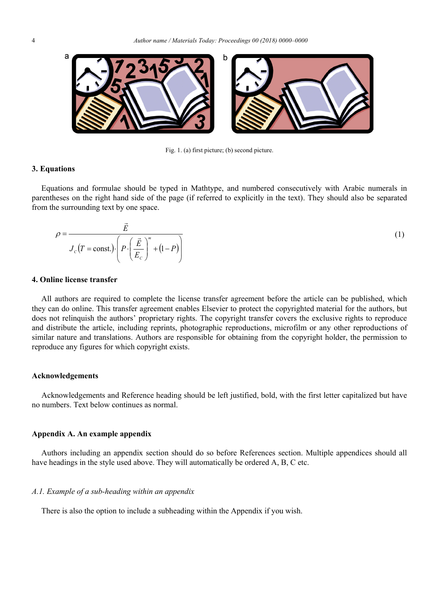

Fig. 1. (a) first picture; (b) second picture.

#### **3. Equations**

Equations and formulae should be typed in Mathtype, and numbered consecutively with Arabic numerals in parentheses on the right hand side of the page (if referred to explicitly in the text). They should also be separated from the surrounding text by one space.

$$
\rho = \frac{\vec{E}}{J_c(T = \text{const.}) \cdot \left( P \cdot \left( \frac{\vec{E}}{E_c} \right)^m + (1 - P) \right)}
$$
(1)

#### **4. Online license transfer**

All authors are required to complete the license transfer agreement before the article can be published, which they can do online. This transfer agreement enables Elsevier to protect the copyrighted material for the authors, but does not relinquish the authors' proprietary rights. The copyright transfer covers the exclusive rights to reproduce and distribute the article, including reprints, photographic reproductions, microfilm or any other reproductions of similar nature and translations. Authors are responsible for obtaining from the copyright holder, the permission to reproduce any figures for which copyright exists.

#### **Acknowledgements**

Acknowledgements and Reference heading should be left justified, bold, with the first letter capitalized but have no numbers. Text below continues as normal.

#### **Appendix A. An example appendix**

Authors including an appendix section should do so before References section. Multiple appendices should all have headings in the style used above. They will automatically be ordered A, B, C etc.

#### *A.1. Example of a sub-heading within an appendix*

There is also the option to include a subheading within the Appendix if you wish.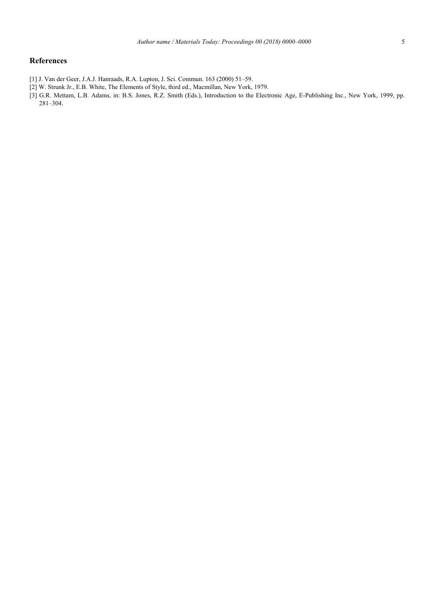#### **References**

- [1] J. Van der Geer, J.A.J. Hanraads, R.A. Lupton, J. Sci. Commun. 163 (2000) 51–59.
- [2] W. Strunk Jr., E.B. White, The Elements of Style, third ed., Macmillan, New York, 1979.
- [3] G.R. Mettam, L.B. Adams, in: B.S. Jones, R.Z. Smith (Eds.), Introduction to the Electronic Age, E-Publishing Inc., New York, 1999, pp. 281–304.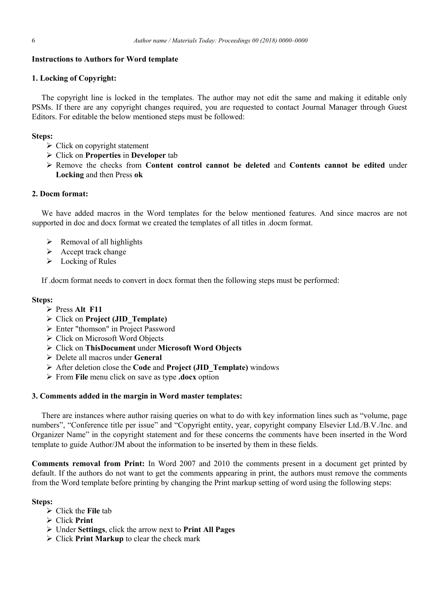#### **Instructions to Authors for Word template**

#### **1. Locking of Copyright:**

The copyright line is locked in the templates. The author may not edit the same and making it editable only PSMs. If there are any copyright changes required, you are requested to contact Journal Manager through Guest Editors. For editable the below mentioned steps must be followed:

#### **Steps:**

- $\triangleright$  Click on copyright statement
- Click on **Properties** in **Developer** tab
- Remove the checks from **Content control cannot be deleted** and **Contents cannot be edited** under **Locking** and then Press **ok**

#### **2. Docm format:**

We have added macros in the Word templates for the below mentioned features. And since macros are not supported in doc and docx format we created the templates of all titles in .docm format.

- $\triangleright$  Removal of all highlights
- $\triangleright$  Accept track change
- $\triangleright$  Locking of Rules

If .docm format needs to convert in docx format then the following steps must be performed:

#### **Steps:**

- Press **Alt F11**
- Click on **Project (JID\_Template)**
- Enter "thomson" in Project Password
- Click on Microsoft Word Objects
- Click on **ThisDocument** under **Microsoft Word Objects**
- Delete all macros under **General**
- After deletion close the **Code** and **Project (JID\_Template)** windows
- From **File** menu click on save as type **.docx** option

#### **3. Comments added in the margin in Word master templates:**

There are instances where author raising queries on what to do with key information lines such as "volume, page numbers", "Conference title per issue" and "Copyright entity, year, copyright company Elsevier Ltd./B.V./Inc. and Organizer Name" in the copyright statement and for these concerns the comments have been inserted in the Word template to guide Author/JM about the information to be inserted by them in these fields.

**Comments removal from Print:** In Word 2007 and 2010 the comments present in a document get printed by default. If the authors do not want to get the comments appearing in print, the authors must remove the comments from the Word template before printing by changing the Print markup setting of word using the following steps:

#### **Steps:**

- Click the **File** tab
- Click **Print**
- Under **Settings**, click the arrow next to **Print All Pages**
- Click **Print Markup** to clear the check mark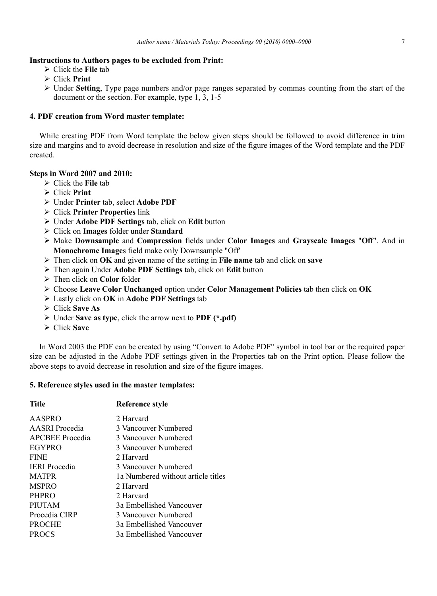### **Instructions to Authors pages to be excluded from Print:**

- Click the **File** tab
- Click **Print**
- Under **Setting**, Type page numbers and/or page ranges separated by commas counting from the start of the document or the section. For example, type 1, 3, 1-5

### **4. PDF creation from Word master template:**

While creating PDF from Word template the below given steps should be followed to avoid difference in trim size and margins and to avoid decrease in resolution and size of the figure images of the Word template and the PDF created.

### **Steps in Word 2007 and 2010:**

- Click the **File** tab
- Click **Print**
- Under **Printer** tab, select **Adobe PDF**
- Click **Printer Properties** link
- Under **Adobe PDF Settings** tab, click on **Edit** button
- Click on **Images** folder under **Standard**
- Make **Downsample** and **Compression** fields under **Color Images** and **Grayscale Images** "**Off**". And in **Monochrome Image**s field make only Downsample "Off'
- Then click on **OK** and given name of the setting in **File name** tab and click on **save**
- Then again Under **Adobe PDF Settings** tab, click on **Edit** button
- Then click on **Color** folder
- Choose **Leave Color Unchanged** option under **Color Management Policies** tab then click on **OK**
- Lastly click on **OK** in **Adobe PDF Settings** tab
- Click **Save As**
- Under **Save as type**, click the arrow next to **PDF (\*.pdf)**
- Click **Save**

In Word 2003 the PDF can be created by using "Convert to Adobe PDF" symbol in tool bar or the required paper size can be adjusted in the Adobe PDF settings given in the Properties tab on the Print option. Please follow the above steps to avoid decrease in resolution and size of the figure images.

#### **5. Reference styles used in the master templates:**

| Reference style                    |
|------------------------------------|
| 2 Harvard                          |
| 3 Vancouver Numbered               |
| 3 Vancouver Numbered               |
| 3 Vancouver Numbered               |
| 2 Harvard                          |
| 3 Vancouver Numbered               |
| 1a Numbered without article titles |
| 2 Harvard                          |
| 2 Harvard                          |
| 3a Embellished Vancouver           |
| 3 Vancouver Numbered               |
| 3a Embellished Vancouver           |
| 3a Embellished Vancouver           |
|                                    |